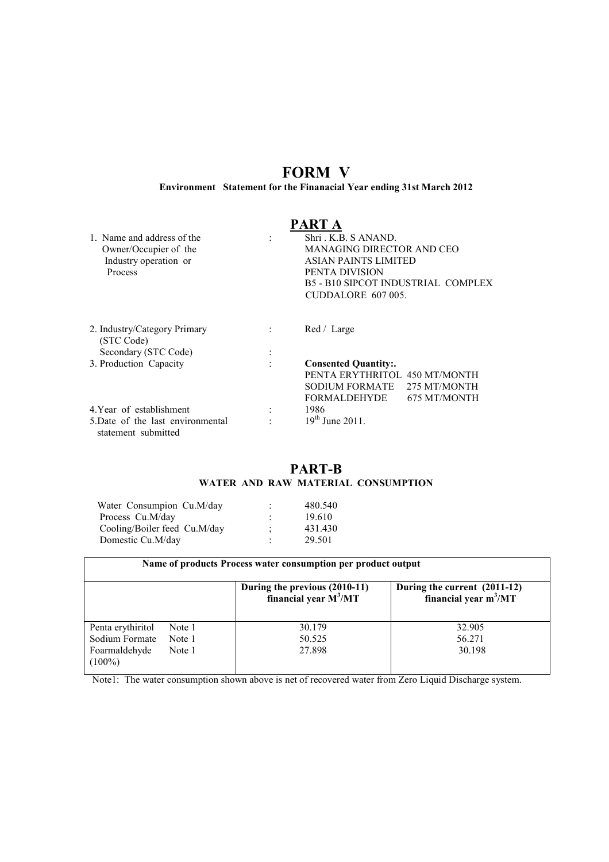# FORM V

Environment Statement for the Finanacial Year ending 31st March 2012

# PART A

| 1 Name and address of the<br>Owner/Occupier of the<br>Industry operation or<br>Process | Shri K.B. S ANAND.<br>MANAGING DIRECTOR AND CEO<br><b>ASIAN PAINTS LIMITED</b><br>PENTA DIVISION<br>B5 - B10 SIPCOT INDUSTRIAL COMPLEX<br>CUDDALORE 607 005. |  |  |  |  |
|----------------------------------------------------------------------------------------|--------------------------------------------------------------------------------------------------------------------------------------------------------------|--|--|--|--|
|                                                                                        |                                                                                                                                                              |  |  |  |  |
| 2. Industry/Category Primary<br>(STC Code)                                             | Red / Large                                                                                                                                                  |  |  |  |  |
| Secondary (STC Code)                                                                   |                                                                                                                                                              |  |  |  |  |
| 3. Production Capacity                                                                 | <b>Consented Quantity:.</b><br>PENTA ERYTHRITOL 450 MT/MONTH<br>SODIUM FORMATE<br>275 MT/MONTH<br>FORMALDEHYDE<br>675 MT/MONTH                               |  |  |  |  |
| 4. Year of establishment                                                               | 1986                                                                                                                                                         |  |  |  |  |
| 5. Date of the last environmental<br>statement submitted                               | $19^{th}$ June 2011.                                                                                                                                         |  |  |  |  |

## PART-B WATER AND RAW MATERIAL CONSUMPTION

| Water Consumpion Cu.M/day    | ٠ | 480.540 |
|------------------------------|---|---------|
| Process Cu.M/day             | ٠ | 19.610  |
| Cooling/Boiler feed Cu.M/day | ٠ | 431.430 |
| Domestic Cu.M/day            | ٠ | 29.501  |

| Name of products Process water consumption per product output     |                            |                                                            |                                                         |  |  |  |  |  |  |  |
|-------------------------------------------------------------------|----------------------------|------------------------------------------------------------|---------------------------------------------------------|--|--|--|--|--|--|--|
|                                                                   |                            | During the previous $(2010-11)$<br>financial year $M^3/MT$ | During the current (2011-12)<br>financial year $m^3/MT$ |  |  |  |  |  |  |  |
| Penta erythiritol<br>Sodium Formate<br>Foarmaldehyde<br>$(100\%)$ | Note 1<br>Note 1<br>Note 1 | 30.179<br>50.525<br>27.898                                 | 32.905<br>56.271<br>30.198                              |  |  |  |  |  |  |  |

Note1: The water consumption shown above is net of recovered water from Zero Liquid Discharge system.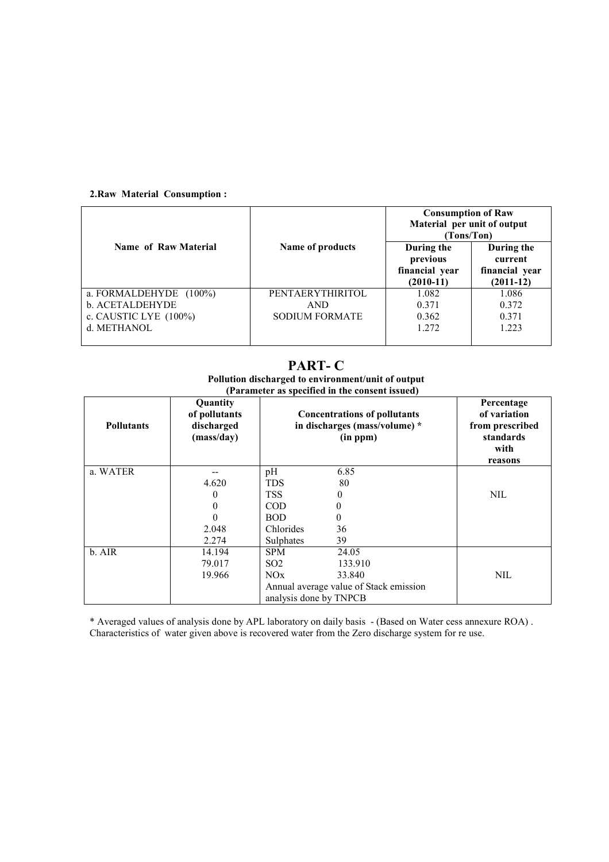## 2.Raw Material Consumption :

|                        |                         | <b>Consumption of Raw</b><br>Material per unit of output<br>(Tons/Ton) |                                                        |  |  |
|------------------------|-------------------------|------------------------------------------------------------------------|--------------------------------------------------------|--|--|
| Name of Raw Material   | Name of products        | During the<br>previous<br>financial year<br>$(2010-11)$                | During the<br>current<br>financial year<br>$(2011-12)$ |  |  |
| a. FORMALDEHYDE (100%) | <b>PENTAERYTHIRITOL</b> | 1.082                                                                  | 1.086                                                  |  |  |
| b. ACETALDEHYDE        | AND.                    | 0.371                                                                  | 0.372                                                  |  |  |
| c. CAUSTIC LYE (100%)  | <b>SODIUM FORMATE</b>   | 0.362                                                                  | 0.371                                                  |  |  |
| d. METHANOL            |                         | 1.272                                                                  | 1.223                                                  |  |  |

# PART- C

#### Pollution discharged to environment/unit of output (Parameter as specified in the consent issued)

| <b>Pollutants</b> | Quantity<br>of pollutants<br>discharged<br>(mass/day) | <b>Concentrations of pollutants</b><br>in discharges (mass/volume) *<br>(in ppm) | Percentage<br>of variation<br>from prescribed<br>standards<br>with<br>reasons |
|-------------------|-------------------------------------------------------|----------------------------------------------------------------------------------|-------------------------------------------------------------------------------|
| a. WATER          |                                                       | 6.85<br>pH                                                                       |                                                                               |
|                   | 4.620                                                 | <b>TDS</b><br>80                                                                 |                                                                               |
|                   | 0                                                     | <b>TSS</b><br>$_{0}$                                                             | <b>NIL</b>                                                                    |
|                   | 0                                                     | <b>COD</b><br>0                                                                  |                                                                               |
|                   |                                                       | <b>BOD</b><br>0                                                                  |                                                                               |
|                   | 2.048                                                 | Chlorides<br>36                                                                  |                                                                               |
|                   | 2.274                                                 | Sulphates<br>39                                                                  |                                                                               |
| b. AIR            | 14.194                                                | 24.05<br><b>SPM</b>                                                              |                                                                               |
|                   | 79.017                                                | SO <sub>2</sub><br>133.910                                                       |                                                                               |
|                   | 19.966                                                | NOx<br>33.840                                                                    | <b>NIL</b>                                                                    |
|                   |                                                       | Annual average value of Stack emission                                           |                                                                               |
|                   |                                                       | analysis done by TNPCB                                                           |                                                                               |

\* Averaged values of analysis done by APL laboratory on daily basis - (Based on Water cess annexure ROA) . Characteristics of water given above is recovered water from the Zero discharge system for re use.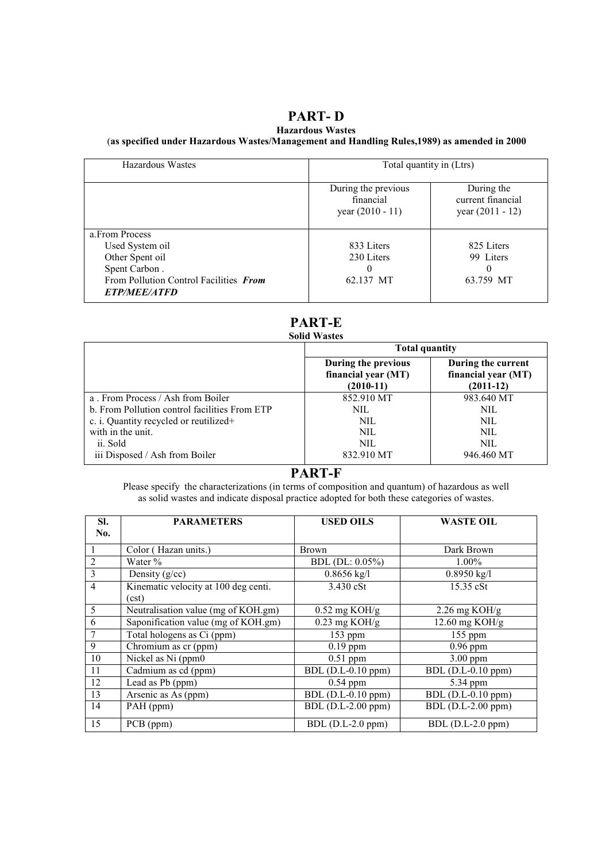# PART- D

## Hazardous Wastes

## (as specified under Hazardous Wastes/Management and Handling Rules,1989) as amended in 2000

| Hazardous Wastes                                                     |                                                        | Total quantity in (Ltrs)                              |  |  |  |  |  |
|----------------------------------------------------------------------|--------------------------------------------------------|-------------------------------------------------------|--|--|--|--|--|
|                                                                      | During the previous<br>financial<br>year $(2010 - 11)$ | During the<br>current financial<br>year $(2011 - 12)$ |  |  |  |  |  |
| a From Process                                                       |                                                        |                                                       |  |  |  |  |  |
| Used System oil                                                      | 833 Liters                                             | 825 Liters                                            |  |  |  |  |  |
| Other Spent oil                                                      | 230 Liters                                             | 99 Liters                                             |  |  |  |  |  |
| Spent Carbon.                                                        | $\theta$                                               | 0                                                     |  |  |  |  |  |
| From Pollution Control Facilities From<br><i><b>ETP/MEE/ATFD</b></i> | 62.137 MT                                              | 63.759 MT                                             |  |  |  |  |  |

# PART-E

# Solid Wastes

|                                               | <b>Total quantity</b>                                     |                                                          |  |  |  |  |
|-----------------------------------------------|-----------------------------------------------------------|----------------------------------------------------------|--|--|--|--|
|                                               | During the previous<br>financial year (MT)<br>$(2010-11)$ | During the current<br>financial year (MT)<br>$(2011-12)$ |  |  |  |  |
| a. From Process / Ash from Boiler             | 852.910 MT                                                | 983.640 MT                                               |  |  |  |  |
| b. From Pollution control facilities From ETP | NIL.                                                      | NIL.                                                     |  |  |  |  |
| c. i. Quantity recycled or reutilized+        | NIL.                                                      | NIL.                                                     |  |  |  |  |
| with in the unit.                             | NIL.                                                      | NIL.                                                     |  |  |  |  |
| ii. Sold                                      | NIL.                                                      | NIL.                                                     |  |  |  |  |
| iii Disposed / Ash from Boiler                | 832.910 MT                                                | 946.460 MT                                               |  |  |  |  |

## PART-F

Please specify the characterizations (in terms of composition and quantum) of hazardous as well as solid wastes and indicate disposal practice adopted for both these categories of wastes.

| SI.<br>No.     | <b>PARAMETERS</b>                             | <b>USED OILS</b>        | <b>WASTE OIL</b>                |
|----------------|-----------------------------------------------|-------------------------|---------------------------------|
|                |                                               |                         |                                 |
| 1              | Color (Hazan units.)                          | <b>Brown</b>            | Dark Brown                      |
| $\overline{2}$ | Water $\%$                                    | BDL (DL: 0.05%)         | $1.00\%$                        |
| 3              | Density $(g/cc)$                              | $0.8656$ kg/l           | $0.8950$ kg/l                   |
| $\overline{4}$ | Kinematic velocity at 100 deg centi.<br>(cst) | 3.430 cSt               | 15.35 cSt                       |
| 5              | Neutralisation value (mg of KOH.gm)           | $0.52 \text{ mg KOH/g}$ | $2.26$ mg KOH/g                 |
| 6              | Saponification value (mg of KOH.gm)           | $0.23$ mg KOH/g         | 12.60 mg $KOH/g$                |
| $\overline{7}$ | Total hologens as Ci (ppm)                    | $153$ ppm               | 155 ppm                         |
| 9              | Chromium as cr (ppm)                          | $0.19$ ppm              | $0.96$ ppm                      |
| 10             | Nickel as Ni (ppm0                            | $0.51$ ppm              | $3.00$ ppm                      |
| 11             | Cadmium as cd (ppm)                           | BDL (D.L-0.10 ppm)      | $\overline{BDL}$ (D.L-0.10 ppm) |
| 12             | Lead as Pb (ppm)                              | $0.54$ ppm              | 5.34 ppm                        |
| 13             | Arsenic as As (ppm)                           | BDL (D.L-0.10 ppm)      | $BDL$ (D.L-0.10 ppm)            |
| 14             | PAH (ppm)                                     | $BDL$ (D.L-2.00 ppm)    | $BDL$ (D.L-2.00 ppm)            |
| 15             | PCB (ppm)                                     | BDL (D.L-2.0 ppm)       | BDL (D.L-2.0 ppm)               |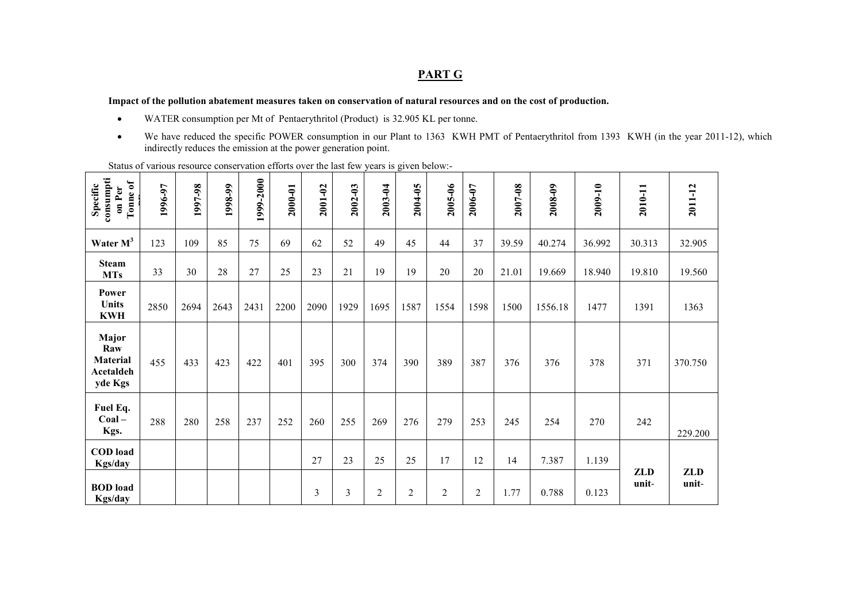## PART G

#### Impact of the pollution abatement measures taken on conservation of natural resources and on the cost of production.

- •WATER consumption per Mt of Pentaerythritol (Product) is 32.905 KL per tonne.
- • We have reduced the specific POWER consumption in our Plant to 1363 KWH PMT of Pentaerythritol from 1393 KWH (in the year 2011-12), which indirectly reduces the emission at the power generation point.

Status of various resource conservation efforts over the last few years is given below:-

| consumpti<br>$\mathbf{b}$<br>Specific<br>on Per<br>Tonne | 1996-97 | 1997-98 | 1998-99 | 1999-2000 | 2000-01 | 2001-02 | 2002-03 | 2003-04        | 2004-05        | 2005-06        | 2006-07        | 2007-08 | 2008-09 | 2009-10 | 2010-11             | 2011-12             |
|----------------------------------------------------------|---------|---------|---------|-----------|---------|---------|---------|----------------|----------------|----------------|----------------|---------|---------|---------|---------------------|---------------------|
| Water $M^3$                                              | 123     | 109     | 85      | 75        | 69      | 62      | 52      | 49             | 45             | 44             | 37             | 39.59   | 40.274  | 36.992  | 30.313              | 32.905              |
| <b>Steam</b><br><b>MTs</b>                               | 33      | 30      | 28      | 27        | 25      | 23      | 21      | 19             | 19             | 20             | 20             | 21.01   | 19.669  | 18.940  | 19.810              | 19.560              |
| Power<br>Units<br><b>KWH</b>                             | 2850    | 2694    | 2643    | 2431      | 2200    | 2090    | 1929    | 1695           | 1587           | 1554           | 1598           | 1500    | 1556.18 | 1477    | 1391                | 1363                |
| Major<br>Raw<br><b>Material</b><br>Acetaldeh<br>yde Kgs  | 455     | 433     | 423     | 422       | 401     | 395     | 300     | 374            | 390            | 389            | 387            | 376     | 376     | 378     | 371                 | 370.750             |
| Fuel Eq.<br>$Coal -$<br>Kgs.                             | 288     | 280     | 258     | 237       | 252     | 260     | 255     | 269            | 276            | 279            | 253            | 245     | 254     | 270     | 242                 | 229.200             |
| <b>COD</b> load<br>Kgs/day                               |         |         |         |           |         | 27      | 23      | 25             | 25             | 17             | 12             | 14      | 7.387   | 1.139   |                     |                     |
| <b>BOD</b> load<br>Kgs/day                               |         |         |         |           |         | 3       | 3       | $\overline{2}$ | $\overline{2}$ | $\overline{2}$ | $\overline{2}$ | 1.77    | 0.788   | 0.123   | <b>ZLD</b><br>unit- | <b>ZLD</b><br>unit- |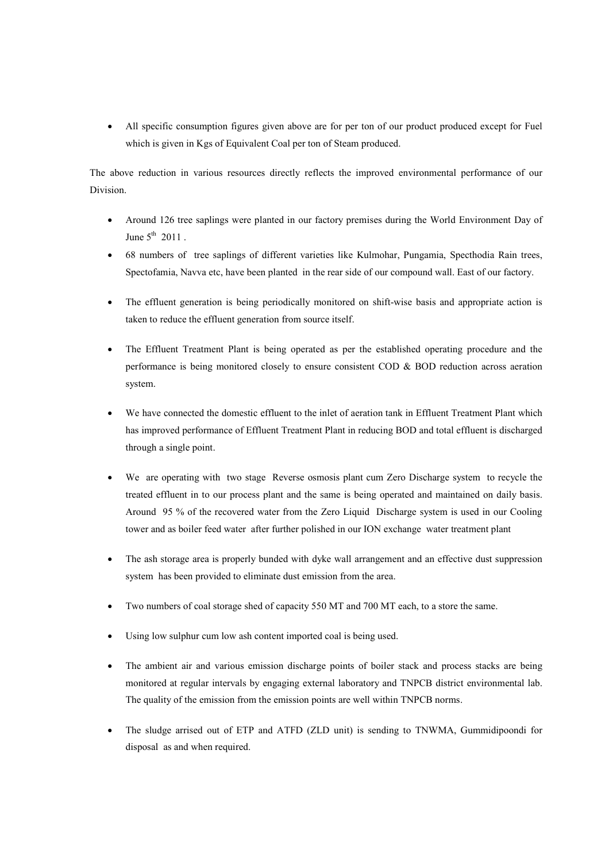• All specific consumption figures given above are for per ton of our product produced except for Fuel which is given in Kgs of Equivalent Coal per ton of Steam produced.

The above reduction in various resources directly reflects the improved environmental performance of our Division.

- Around 126 tree saplings were planted in our factory premises during the World Environment Day of June  $5^{th}$  2011.
- 68 numbers of tree saplings of different varieties like Kulmohar, Pungamia, Specthodia Rain trees, Spectofamia, Navva etc, have been planted in the rear side of our compound wall. East of our factory.
- The effluent generation is being periodically monitored on shift-wise basis and appropriate action is taken to reduce the effluent generation from source itself.
- The Effluent Treatment Plant is being operated as per the established operating procedure and the performance is being monitored closely to ensure consistent COD & BOD reduction across aeration system.
- We have connected the domestic effluent to the inlet of aeration tank in Effluent Treatment Plant which has improved performance of Effluent Treatment Plant in reducing BOD and total effluent is discharged through a single point.
- We are operating with two stage Reverse osmosis plant cum Zero Discharge system to recycle the treated effluent in to our process plant and the same is being operated and maintained on daily basis. Around 95 % of the recovered water from the Zero Liquid Discharge system is used in our Cooling tower and as boiler feed water after further polished in our ION exchange water treatment plant
- The ash storage area is properly bunded with dyke wall arrangement and an effective dust suppression system has been provided to eliminate dust emission from the area.
- Two numbers of coal storage shed of capacity 550 MT and 700 MT each, to a store the same.
- Using low sulphur cum low ash content imported coal is being used.
- The ambient air and various emission discharge points of boiler stack and process stacks are being monitored at regular intervals by engaging external laboratory and TNPCB district environmental lab. The quality of the emission from the emission points are well within TNPCB norms.
- The sludge arrised out of ETP and ATFD (ZLD unit) is sending to TNWMA, Gummidipoondi for disposal as and when required.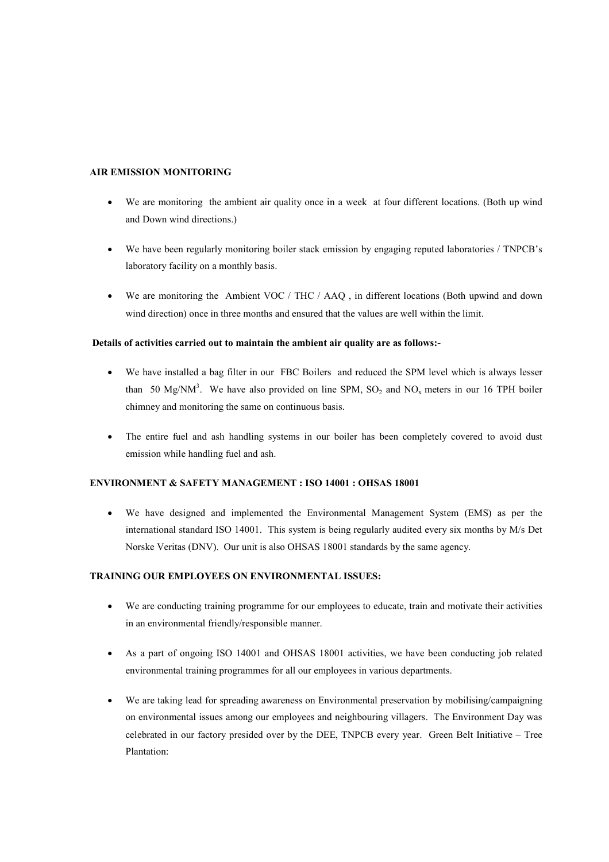#### AIR EMISSION MONITORING

- We are monitoring the ambient air quality once in a week at four different locations. (Both up wind and Down wind directions.)
- We have been regularly monitoring boiler stack emission by engaging reputed laboratories / TNPCB's laboratory facility on a monthly basis.
- We are monitoring the Ambient VOC / THC / AAQ, in different locations (Both upwind and down wind direction) once in three months and ensured that the values are well within the limit.

#### Details of activities carried out to maintain the ambient air quality are as follows:-

- We have installed a bag filter in our FBC Boilers and reduced the SPM level which is always lesser than 50 Mg/NM<sup>3</sup>. We have also provided on line SPM,  $SO_2$  and  $NO_x$  meters in our 16 TPH boiler chimney and monitoring the same on continuous basis.
- The entire fuel and ash handling systems in our boiler has been completely covered to avoid dust emission while handling fuel and ash.

#### ENVIRONMENT & SAFETY MANAGEMENT : ISO 14001 : OHSAS 18001

• We have designed and implemented the Environmental Management System (EMS) as per the international standard ISO 14001. This system is being regularly audited every six months by M/s Det Norske Veritas (DNV). Our unit is also OHSAS 18001 standards by the same agency.

#### TRAINING OUR EMPLOYEES ON ENVIRONMENTAL ISSUES:

- We are conducting training programme for our employees to educate, train and motivate their activities in an environmental friendly/responsible manner.
- As a part of ongoing ISO 14001 and OHSAS 18001 activities, we have been conducting job related environmental training programmes for all our employees in various departments.
- We are taking lead for spreading awareness on Environmental preservation by mobilising/campaigning on environmental issues among our employees and neighbouring villagers. The Environment Day was celebrated in our factory presided over by the DEE, TNPCB every year. Green Belt Initiative – Tree Plantation: